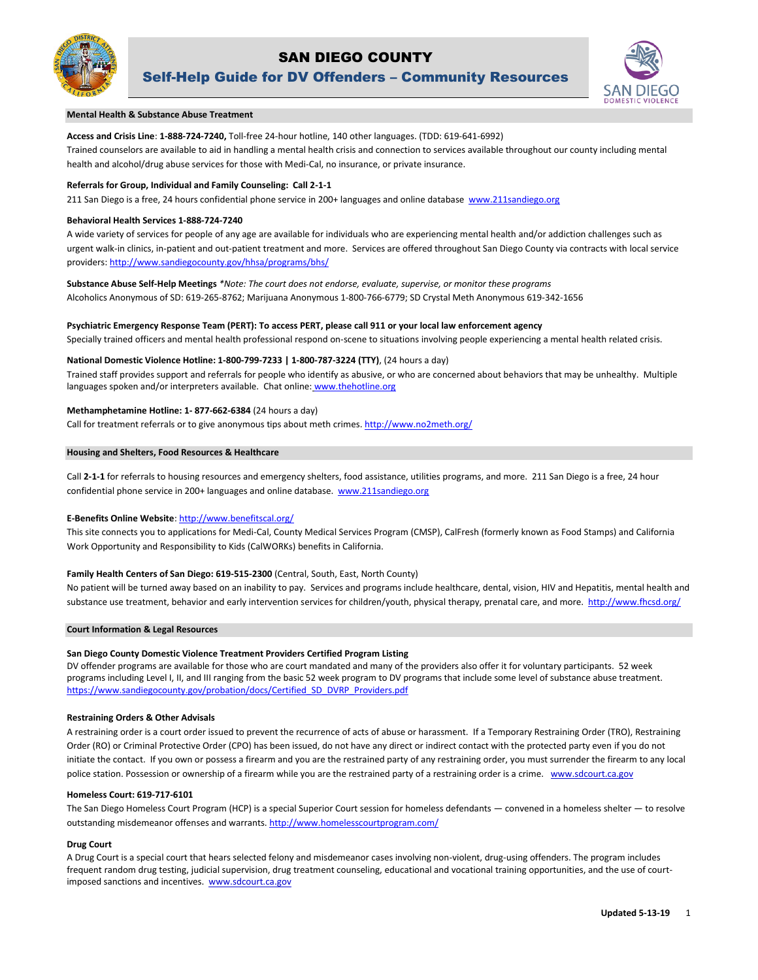

# SAN DIEGO COUNTY

Self-Help Guide for DV Offenders – Community Resources



l

# **Mental Health & Substance Abuse Treatment**

## **Access and Crisis Line**: **1-888-724-7240,** Toll-free 24-hour hotline, 140 other languages. (TDD: 619-641-6992)

Trained counselors are available to aid in handling a mental health crisis and connection to services available throughout our county including mental health and alcohol/drug abuse services for those with Medi-Cal, no insurance, or private insurance.

## **Referrals for Group, Individual and Family Counseling: Call 2-1-1**

211 San Diego is a free, 24 hours confidential phone service in 200+ languages and online database [www.211sandiego.org](http://www.211sandiego.org/)

## **Behavioral Health Services 1-888-724-7240**

A wide variety of services for people of any age are available for individuals who are experiencing mental health and/or addiction challenges such as urgent walk-in clinics, in-patient and out-patient treatment and more. Services are offered throughout San Diego County via contracts with local service providers[: http://www.sandiegocounty.gov/hhsa/programs/bhs/](http://www.sandiegocounty.gov/hhsa/programs/bhs/)

**Substance Abuse Self-Help Meetings** *\*Note: The court does not endorse, evaluate, supervise, or monitor these programs* Alcoholics Anonymous of SD: 619-265-8762; Marijuana Anonymous 1-800-766-6779; SD Crystal Meth Anonymous 619-342-1656

## **Psychiatric Emergency Response Team (PERT): To access PERT, please call 911 or your local law enforcement agency**

Specially trained officers and mental health professional respond on-scene to situations involving people experiencing a mental health related crisis.

# **National Domestic Violence Hotline: 1-800-799-7233 | 1-800-787-3224 (TTY)**, (24 hours a day)

Trained staff provides support and referrals for people who identify as abusive, or who are concerned about behaviors that may be unhealthy. Multiple languages spoken and/or interpreters available. Chat online: [www.thehotline.org](http://www.thehotline.org/)

## **Methamphetamine Hotline: 1- 877-662-6384** (24 hours a day)

Call for treatment referrals or to give anonymous tips about meth crimes. <http://www.no2meth.org/>

## **Housing and Shelters, Food Resources & Healthcare**

Call **2-1-1** for referrals to housing resources and emergency shelters, food assistance, utilities programs, and more. 211 San Diego is a free, 24 hour confidential phone service in 200+ languages and online database. [www.211sandiego.org](http://www.211sandiego.org/) 

## **E-Benefits Online Website**[: http://www.benefitscal.org/](http://www.benefitscal.org/)

This site connects you to applications for Medi-Cal, County Medical Services Program (CMSP), CalFresh (formerly known as Food Stamps) and California Work Opportunity and Responsibility to Kids (CalWORKs) benefits in California.

## **Family Health Centers of San Diego: 619-515-2300** (Central, South, East, North County)

No patient will be turned away based on an inability to pay. Services and programs include healthcare, dental, vision, HIV and Hepatitis, mental health and substance use treatment, behavior and early intervention services for children/youth, physical therapy, prenatal care, and more.<http://www.fhcsd.org/>

#### **Court Information & Legal Resources**

## **San Diego County Domestic Violence Treatment Providers Certified Program Listing**

DV offender programs are available for those who are court mandated and many of the providers also offer it for voluntary participants. 52 week programs including Level I, II, and III ranging from the basic 52 week program to DV programs that include some level of substance abuse treatment. https://www.sandiegocounty.gov/probation/docs/Certified SD\_DVRP\_Providers.pdf

#### **Restraining Orders & Other Advisals**

A restraining order is a court order issued to prevent the recurrence of acts of abuse or harassment. If a Temporary Restraining Order (TRO), Restraining Order (RO) or Criminal Protective Order (CPO) has been issued, do not have any direct or indirect contact with the protected party even if you do not initiate the contact. If you own or possess a firearm and you are the restrained party of any restraining order, you must surrender the firearm to any local police station. Possession or ownership of a firearm while you are the restrained party of a restraining order is a crime. www.sdcourt.ca.gov

## **Homeless Court: 619-717-6101**

The San Diego Homeless Court Program (HCP) is a special Superior Court session for homeless defendants — convened in a homeless shelter — to resolve outstanding misdemeanor offenses and warrants. <http://www.homelesscourtprogram.com/>

#### **Drug Court**

A Drug Court is a special court that hears selected felony and misdemeanor cases involving non-violent, drug-using offenders. The program includes frequent random drug testing, judicial supervision, drug treatment counseling, educational and vocational training opportunities, and the use of courtimposed sanctions and incentives. www.sdcourt.ca.gov